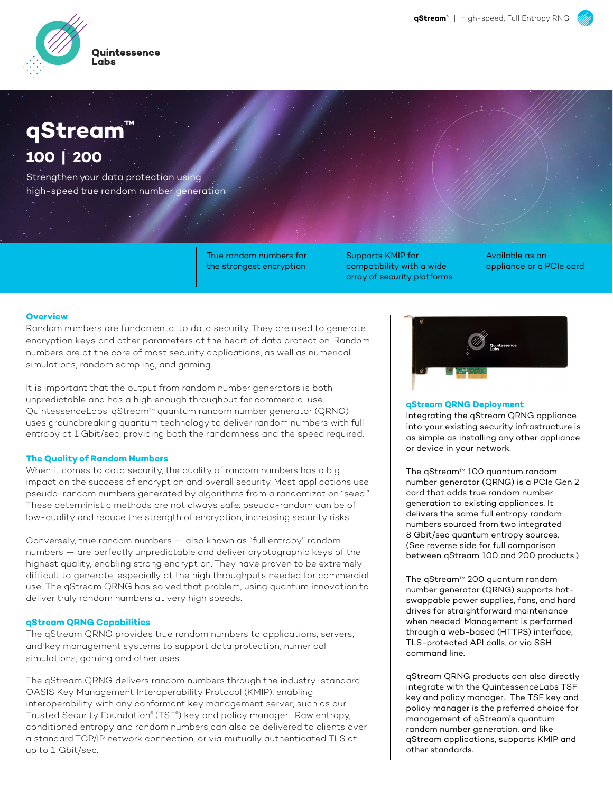

## **qStream™ 100 | 200**

Strengthen your data protection using high-speed true random number generation

> True random numbers for the strongest encryption

Supports KMIP for compatibility with a wide array of security platforms

Available as an appliance or a PCIe card

#### **Overview**

Random numbers are fundamental to data security. They are used to generate encryption keys and other parameters at the heart of data protection. Random numbers are at the core of most security applications, as well as numerical simulations, random sampling, and gaming.

It is important that the output from random number generators is both unpredictable and has a high enough throughput for commercial use. QuintessenceLabs' qStream™ quantum random number generator (QRNG) uses groundbreaking quantum technology to deliver random numbers with full entropy at 1 Gbit/sec, providing both the randomness and the speed required.

#### **The Quality of Random Numbers**

When it comes to data security, the quality of random numbers has a big impact on the success of encryption and overall security. Most applications use pseudo-random numbers generated by algorithms from a randomization "seed." These deterministic methods are not always safe: pseudo-random can be of low-quality and reduce the strength of encryption, increasing security risks.

Conversely, true random numbers — also known as "full entropy" random numbers — are perfectly unpredictable and deliver cryptographic keys of the highest quality, enabling strong encryption. They have proven to be extremely difficult to generate, especially at the high throughputs needed for commercial use. The qStream QRNG has solved that problem, using quantum innovation to deliver truly random numbers at very high speeds.

#### **qStream QRNG Capabilities**

The qStream QRNG provides true random numbers to applications, servers, and key management systems to support data protection, numerical simulations, gaming and other uses.

The qStream QRNG delivers random numbers through the industry-standard OASIS Key Management Interoperability Protocol (KMIP), enabling interoperability with any conformant key management server, such as our Trusted Security Foundation® (TSF® ) key and policy manager. Raw entropy, conditioned entropy and random numbers can also be delivered to clients over a standard TCP/IP network connection, or via mutually authenticated TLS at up to 1 Gbit/sec.



#### **qStream QRNG Deployment**

Integrating the qStream QRNG appliance into your existing security infrastructure is as simple as installing any other appliance or device in your network.

The qStream™ 100 quantum random number generator (QRNG) is a PCIe Gen 2 card that adds true random number generation to existing appliances. It delivers the same full entropy random numbers sourced from two integrated 8 Gbit/sec quantum entropy sources. (See reverse side for full comparison between qStream 100 and 200 products.)

The qStream™ 200 quantum random number generator (QRNG) supports hotswappable power supplies, fans, and hard drives for straightforward maintenance when needed. Management is performed through a web-based (HTTPS) interface, TLS-protected API calls, or via SSH command line.

qStream QRNG products can also directly integrate with the QuintessenceLabs TSF key and policy manager. The TSF key and policy manager is the preferred choice for management of qStream's quantum random number generation, and like qStream applications, supports KMIP and other standards.